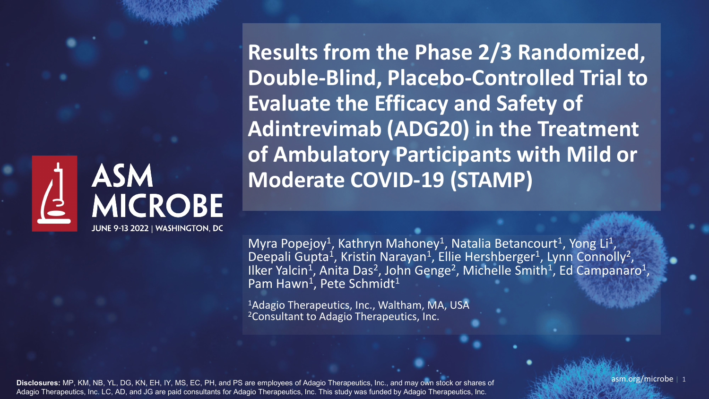## **ASM** MICROBE JUNE 9-13 2022 | WASHINGTON, DC

**Results from the Phase 2/3 Randomized, Double-Blind, Placebo-Controlled Trial to Evaluate the Efficacy and Safety of Adintrevimab (ADG20) in the Treatment of Ambulatory Participants with Mild or Moderate COVID-19 (STAMP)**

Myra Popejoy<sup>1</sup>, Kathryn Mahoney<sup>1</sup>, Natalia Betancourt<sup>1</sup>, Yong Li<sup>1</sup>, Deepali Gupta<sup>1</sup>, Kristin Narayan<sup>1</sup>, Ellie Hershberger<sup>1</sup>, Lynn Connolly<sup>2</sup>, Ilker Yalcin<sup>1</sup>, Anita Das<sup>2</sup>, John Genge<sup>2</sup>, Michelle Smith<sup>1</sup>, Ed Campanaro<sup>1</sup>, Pam Hawn<sup>1</sup>, Pete Schmidt<sup>1</sup>

<sup>1</sup>Adagio Therapeutics, Inc., Waltham, MA, USA 2Consultant to Adagio Therapeutics, Inc.

**Disclosures:** MP, KM, NB, YL, DG, KN, EH, IY, MS, EC, PH, and PS are employees of Adagio Therapeutics, Inc., and may own stock or shares of Adagio Therapeutics, Inc. LC, AD, and JG are paid consultants for Adagio Therapeutics, Inc. This study was funded by Adagio Therapeutics, Inc.

 $\sqrt{a}$ asm.org/microbe | 1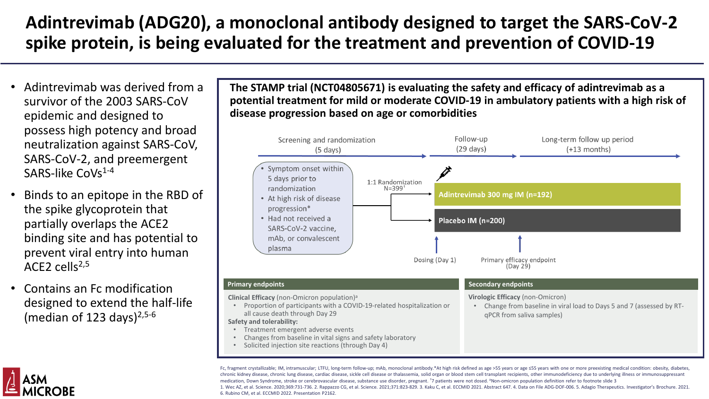# **Adintrevimab (ADG20), a monoclonal antibody designed to target the SARS-CoV-2 spike protein, is being evaluated for the treatment and prevention of COVID-19**

- Adintrevimab was derived from a survivor of the 2003 SARS-CoV epidemic and designed to possess high potency and broad neutralization against SARS-CoV, SARS-CoV-2, and preemergent SARS-like  $C_0Vs^{1-4}$
- Binds to an epitope in the RBD of the spike glycoprotein that partially overlaps the ACE2 binding site and has potential to prevent viral entry into human ACE<sub>2</sub> cells<sup> $2,5$ </sup>
- Contains an Fc modification designed to extend the half-life (median of 123 days) $2,5-6$

**The STAMP trial (NCT04805671) is evaluating the safety and efficacy of adintrevimab as a potential treatment for mild or moderate COVID-19 in ambulatory patients with a high risk of disease progression based on age or comorbidities**



Fc, fragment crystallizable; IM, intramuscular; LTFU, long-term follow-up; mAb, monoclonal antibody.\*At high risk defined as age >55 years or age ≤55 years with one or more preexisting medical condition: obesity, diabetes, chronic kidney disease, chronic lung disease, cardiac disease, sickle cell disease or thalassemia, solid organ or blood stem cell transplant recipients, other immunodeficiency due to underlying illness or immunosuppressant medication, Down Syndrome, stroke or cerebrovascular disease, substance use disorder, pregnant. <sup>†</sup>7 patients were not dosed. <sup>a</sup>Non-omicron population definition refer to footnote slide 3 1. Wec AZ, et al. Science. 2020;369:731-736. 2. Rappazzo CG, et al. Science. 2021;371:823-829. 3. Kaku C, et al. ECCMID 2021. Abstract 647. 4. Data on File ADG-DOF-006. 5. Adagio Therapeutics. Investigator's Brochure. 2021. 6. Rubino CM, et al. ECCMID 2022. Presentation P2162.

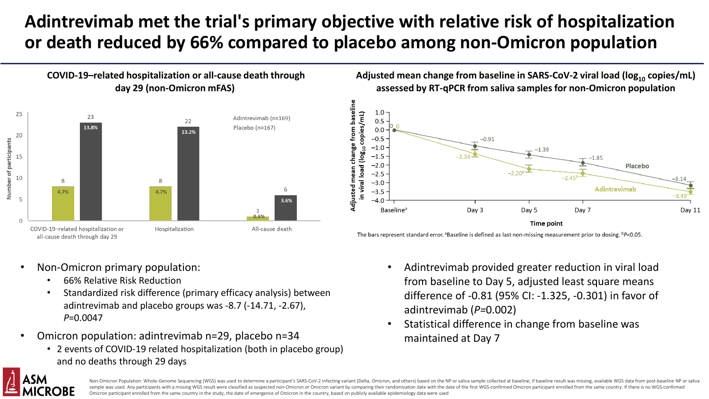# **Adintrevimab met the trial's primary objective with relative risk of hospitalization or death reduced by 66% compared to placebo among non-Omicron population**



Adjusted mean change from baseline in SARS-CoV-2 viral load (log<sub>10</sub> copies/mL) **assessed by RT-qPCR from saliva samples for non-Omicron population**



The bars represent standard error. <sup>a</sup>Baseline is defined as last non-missing measurement prior to dosing.  ${}^{\text{b}}P$ <0.05.

- Non-Omicron primary population:
	- 66% Relative Risk Reduction
	- Standardized risk difference (primary efficacy analysis) between adintrevimab and placebo groups was -8.7 (-14.71, -2.67), *P*=0.0047
- Omicron population: adintrevimab n=29, placebo n=34
	- 2 events of COVID-19 related hospitalization (both in placebo group) and no deaths through 29 days
- Adintrevimab provided greater reduction in viral load from baseline to Day 5, adjusted least square means difference of -0.81 (95% CI: -1.325, -0.301) in favor of adintrevimab (*P=*0.002)
- Statistical difference in change from baseline was maintained at Day 7



Non-Omicron Population: Whole-Genome Sequencing (WGS) was used to determine a participant's SARS-CoV-2 infecting variant (Delta, Omicron, and others) based on the NP or saliva sample collected at baseline; if baseline resu sample was used. Any participants with a missing WGS result were classified as suspected non-Omicron or Omicron variant by comparing their randomization date with the date of the first WGS-confirmed Omicron participant enr Omicron participant enrolled from the same country in the study, the date of emergence of Omicron in the country, based on publicly available epidemiology data were used